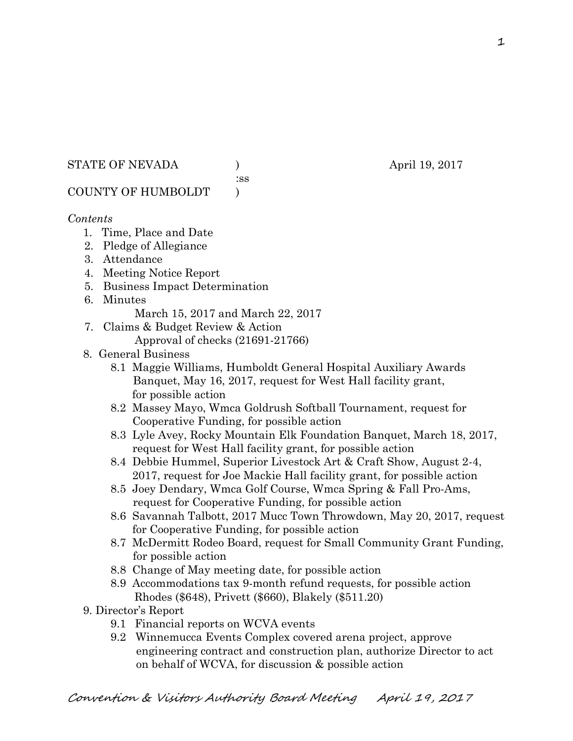STATE OF NEVADA (a) (b) april 19, 2017

:ss

COUNTY OF HUMBOLDT )

## *Contents*

- 1. Time, Place and Date
- 2. Pledge of Allegiance
- 3. Attendance
- 4. Meeting Notice Report
- 5. Business Impact Determination
- 6. Minutes
	- March 15, 2017 and March 22, 2017
- 7. Claims & Budget Review & Action
	- Approval of checks (21691-21766)
- 8. General Business
	- 8.1 Maggie Williams, Humboldt General Hospital Auxiliary Awards Banquet, May 16, 2017, request for West Hall facility grant, for possible action
	- 8.2 Massey Mayo, Wmca Goldrush Softball Tournament, request for Cooperative Funding, for possible action
	- 8.3 Lyle Avey, Rocky Mountain Elk Foundation Banquet, March 18, 2017, request for West Hall facility grant, for possible action
	- 8.4 Debbie Hummel, Superior Livestock Art & Craft Show, August 2-4, 2017, request for Joe Mackie Hall facility grant, for possible action
	- 8.5 Joey Dendary, Wmca Golf Course, Wmca Spring & Fall Pro-Ams, request for Cooperative Funding, for possible action
	- 8.6 Savannah Talbott, 2017 Mucc Town Throwdown, May 20, 2017, request for Cooperative Funding, for possible action
	- 8.7 McDermitt Rodeo Board, request for Small Community Grant Funding, for possible action
	- 8.8 Change of May meeting date, for possible action
	- 8.9 Accommodations tax 9-month refund requests, for possible action Rhodes (\$648), Privett (\$660), Blakely (\$511.20)
- 9. Director's Report
	- 9.1 Financial reports on WCVA events
	- 9.2 Winnemucca Events Complex covered arena project, approve engineering contract and construction plan, authorize Director to act on behalf of WCVA, for discussion & possible action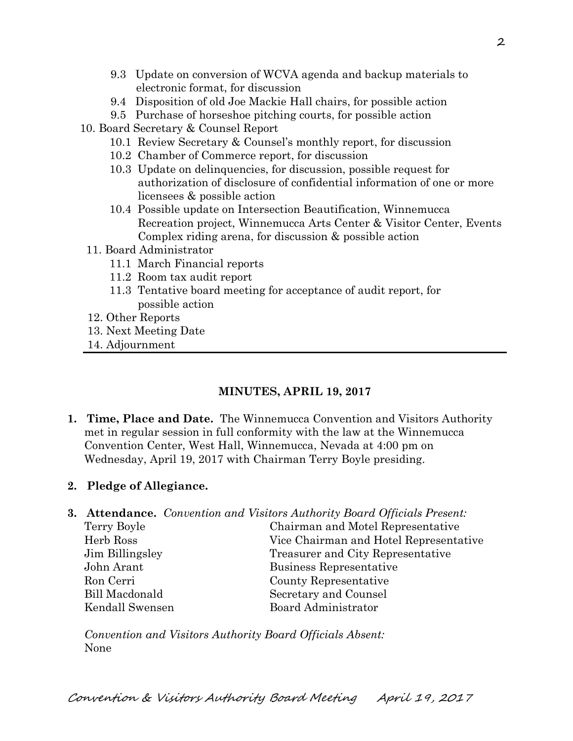- 9.3 Update on conversion of WCVA agenda and backup materials to electronic format, for discussion
- 9.4 Disposition of old Joe Mackie Hall chairs, for possible action
- 9.5 Purchase of horseshoe pitching courts, for possible action
- 10. Board Secretary & Counsel Report
	- 10.1 Review Secretary & Counsel's monthly report, for discussion
	- 10.2 Chamber of Commerce report, for discussion
	- 10.3 Update on delinquencies, for discussion, possible request for authorization of disclosure of confidential information of one or more licensees & possible action
	- 10.4 Possible update on Intersection Beautification, Winnemucca Recreation project, Winnemucca Arts Center & Visitor Center, Events Complex riding arena, for discussion & possible action
	- 11. Board Administrator
		- 11.1 March Financial reports
		- 11.2 Room tax audit report
		- 11.3 Tentative board meeting for acceptance of audit report, for possible action
	- 12. Other Reports
	- 13. Next Meeting Date
	- 14. Adjournment

# **MINUTES, APRIL 19, 2017**

**1. Time, Place and Date.** The Winnemucca Convention and Visitors Authority met in regular session in full conformity with the law at the Winnemucca Convention Center, West Hall, Winnemucca, Nevada at 4:00 pm on Wednesday, April 19, 2017 with Chairman Terry Boyle presiding.

# **2. Pledge of Allegiance.**

**3. Attendance.** *Convention and Visitors Authority Board Officials Present:*  Terry Boyle Chairman and Motel Representative Herb Ross Vice Chairman and Hotel Representative Jim Billingsley Treasurer and City Representative John Arant Business Representative Ron Cerri County Representative Bill Macdonald Secretary and Counsel Kendall Swensen Board Administrator

*Convention and Visitors Authority Board Officials Absent:*  None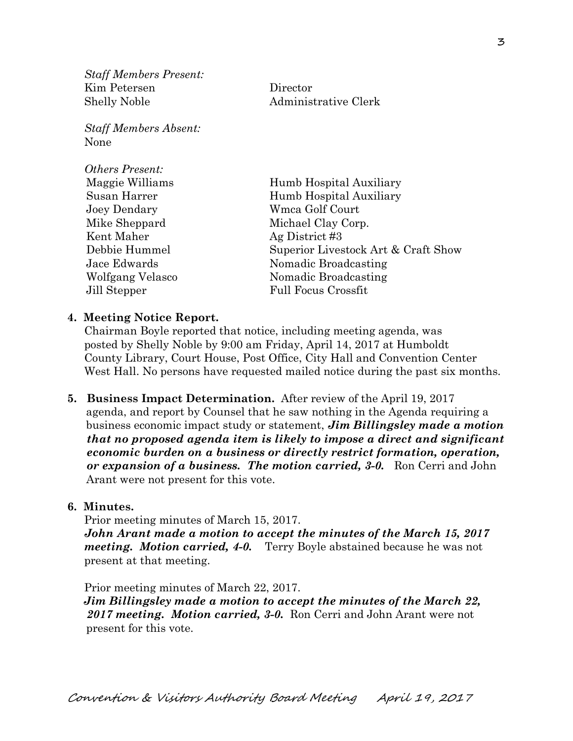*Staff Members Present:*  Kim Petersen Director Shelly Noble Administrative Clerk

*Staff Members Absent:*  None

| <i><b>Others Present:</b></i> |                                     |  |
|-------------------------------|-------------------------------------|--|
| Maggie Williams               | Humb Hospital Auxiliary             |  |
| Susan Harrer                  | Humb Hospital Auxiliary             |  |
| Joey Dendary                  | Wmca Golf Court                     |  |
| Mike Sheppard                 | Michael Clay Corp.                  |  |
| Kent Maher                    | Ag District #3                      |  |
| Debbie Hummel                 | Superior Livestock Art & Craft Show |  |
| Jace Edwards                  | Nomadic Broadcasting                |  |
| Wolfgang Velasco              | Nomadic Broadcasting                |  |
| Jill Stepper                  | <b>Full Focus Crossfit</b>          |  |

### **4. Meeting Notice Report.**

Chairman Boyle reported that notice, including meeting agenda, was posted by Shelly Noble by 9:00 am Friday, April 14, 2017 at Humboldt County Library, Court House, Post Office, City Hall and Convention Center West Hall. No persons have requested mailed notice during the past six months.

**5. Business Impact Determination.** After review of the April 19, 2017 agenda, and report by Counsel that he saw nothing in the Agenda requiring a business economic impact study or statement, *Jim Billingsley made a motion that no proposed agenda item is likely to impose a direct and significant economic burden on a business or directly restrict formation, operation, or expansion of a business. The motion carried, 3-0.* Ron Cerri and John Arant were not present for this vote.

#### **6. Minutes.**

Prior meeting minutes of March 15, 2017.

*John Arant made a motion to accept the minutes of the March 15, 2017 meeting. Motion carried, 4-0.* Terry Boyle abstained because he was not present at that meeting.

Prior meeting minutes of March 22, 2017.

 *Jim Billingsley made a motion to accept the minutes of the March 22, 2017 meeting. Motion carried, 3-0.* Ron Cerri and John Arant were not present for this vote.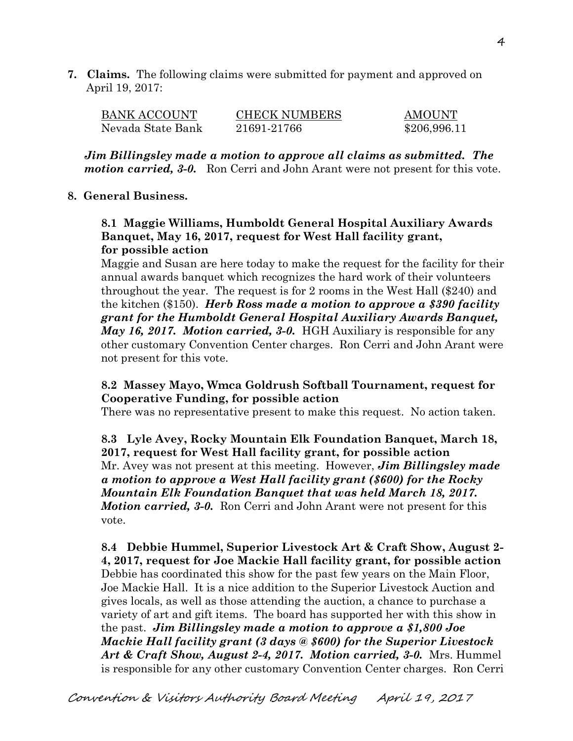**7. Claims.** The following claims were submitted for payment and approved on April 19, 2017:

| <b>BANK ACCOUNT</b> | <b>CHECK NUMBERS</b> | AMOUNT       |
|---------------------|----------------------|--------------|
| Nevada State Bank   | 21691-21766          | \$206,996.11 |

*Jim Billingsley made a motion to approve all claims as submitted. The motion carried, 3-0.* Ron Cerri and John Arant were not present for this vote.

### **8. General Business.**

## **8.1 Maggie Williams, Humboldt General Hospital Auxiliary Awards Banquet, May 16, 2017, request for West Hall facility grant, for possible action**

Maggie and Susan are here today to make the request for the facility for their annual awards banquet which recognizes the hard work of their volunteers throughout the year. The request is for 2 rooms in the West Hall (\$240) and the kitchen (\$150). *Herb Ross made a motion to approve a \$390 facility grant for the Humboldt General Hospital Auxiliary Awards Banquet, May 16, 2017. Motion carried, 3-0.* HGH Auxiliary is responsible for any other customary Convention Center charges. Ron Cerri and John Arant were not present for this vote.

## **8.2 Massey Mayo, Wmca Goldrush Softball Tournament, request for Cooperative Funding, for possible action**

There was no representative present to make this request. No action taken.

**8.3 Lyle Avey, Rocky Mountain Elk Foundation Banquet, March 18, 2017, request for West Hall facility grant, for possible action**  Mr. Avey was not present at this meeting. However, *Jim Billingsley made a motion to approve a West Hall facility grant (\$600) for the Rocky Mountain Elk Foundation Banquet that was held March 18, 2017. Motion carried, 3-0.* Ron Cerri and John Arant were not present for this vote.

**8.4 Debbie Hummel, Superior Livestock Art & Craft Show, August 2- 4, 2017, request for Joe Mackie Hall facility grant, for possible action**  Debbie has coordinated this show for the past few years on the Main Floor, Joe Mackie Hall. It is a nice addition to the Superior Livestock Auction and gives locals, as well as those attending the auction, a chance to purchase a variety of art and gift items. The board has supported her with this show in the past. *Jim Billingsley made a motion to approve a \$1,800 Joe Mackie Hall facility grant (3 days @ \$600) for the Superior Livestock Art & Craft Show, August 2-4, 2017. Motion carried, 3-0.* Mrs. Hummel is responsible for any other customary Convention Center charges. Ron Cerri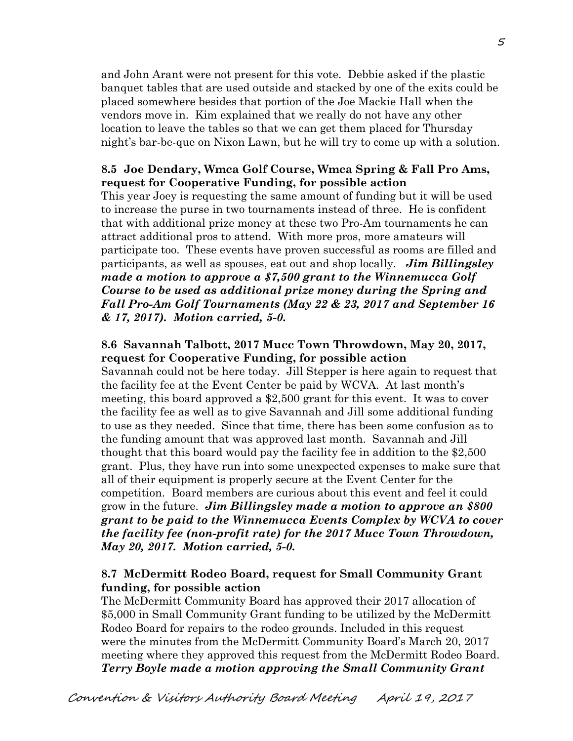and John Arant were not present for this vote. Debbie asked if the plastic banquet tables that are used outside and stacked by one of the exits could be placed somewhere besides that portion of the Joe Mackie Hall when the vendors move in. Kim explained that we really do not have any other location to leave the tables so that we can get them placed for Thursday night's bar-be-que on Nixon Lawn, but he will try to come up with a solution.

## **8.5 Joe Dendary, Wmca Golf Course, Wmca Spring & Fall Pro Ams, request for Cooperative Funding, for possible action**

This year Joey is requesting the same amount of funding but it will be used to increase the purse in two tournaments instead of three. He is confident that with additional prize money at these two Pro-Am tournaments he can attract additional pros to attend. With more pros, more amateurs will participate too. These events have proven successful as rooms are filled and participants, as well as spouses, eat out and shop locally. *Jim Billingsley made a motion to approve a \$7,500 grant to the Winnemucca Golf Course to be used as additional prize money during the Spring and Fall Pro-Am Golf Tournaments (May 22 & 23, 2017 and September 16 & 17, 2017). Motion carried, 5-0.*

## **8.6 Savannah Talbott, 2017 Mucc Town Throwdown, May 20, 2017, request for Cooperative Funding, for possible action**

Savannah could not be here today. Jill Stepper is here again to request that the facility fee at the Event Center be paid by WCVA. At last month's meeting, this board approved a \$2,500 grant for this event. It was to cover the facility fee as well as to give Savannah and Jill some additional funding to use as they needed. Since that time, there has been some confusion as to the funding amount that was approved last month. Savannah and Jill thought that this board would pay the facility fee in addition to the \$2,500 grant. Plus, they have run into some unexpected expenses to make sure that all of their equipment is properly secure at the Event Center for the competition. Board members are curious about this event and feel it could grow in the future. *Jim Billingsley made a motion to approve an \$800 grant to be paid to the Winnemucca Events Complex by WCVA to cover the facility fee (non-profit rate) for the 2017 Mucc Town Throwdown, May 20, 2017. Motion carried, 5-0.* 

## **8.7 McDermitt Rodeo Board, request for Small Community Grant funding, for possible action**

The McDermitt Community Board has approved their 2017 allocation of \$5,000 in Small Community Grant funding to be utilized by the McDermitt Rodeo Board for repairs to the rodeo grounds. Included in this request were the minutes from the McDermitt Community Board's March 20, 2017 meeting where they approved this request from the McDermitt Rodeo Board. *Terry Boyle made a motion approving the Small Community Grant*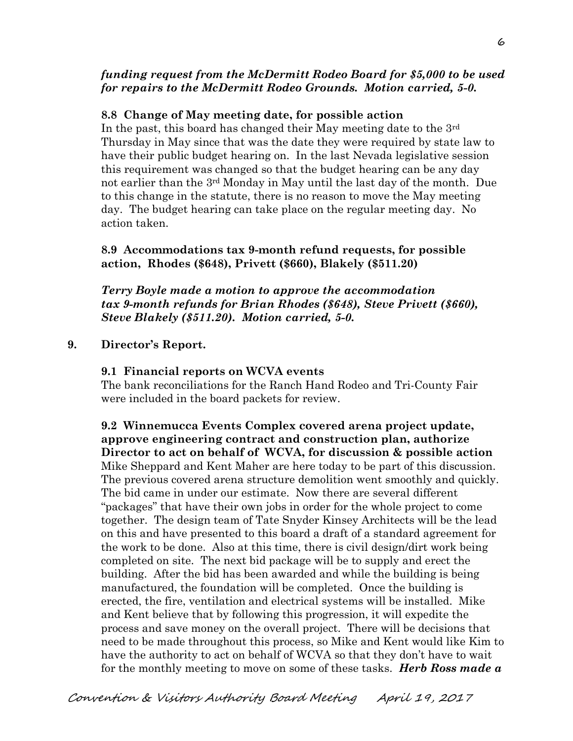### *funding request from the McDermitt Rodeo Board for \$5,000 to be used for repairs to the McDermitt Rodeo Grounds. Motion carried, 5-0.*

### **8.8 Change of May meeting date, for possible action**

In the past, this board has changed their May meeting date to the 3rd Thursday in May since that was the date they were required by state law to have their public budget hearing on. In the last Nevada legislative session this requirement was changed so that the budget hearing can be any day not earlier than the  $3<sup>rd</sup>$  Monday in May until the last day of the month. Due to this change in the statute, there is no reason to move the May meeting day. The budget hearing can take place on the regular meeting day. No action taken.

## **8.9 Accommodations tax 9-month refund requests, for possible action, Rhodes (\$648), Privett (\$660), Blakely (\$511.20)**

*Terry Boyle made a motion to approve the accommodation tax 9-month refunds for Brian Rhodes (\$648), Steve Privett (\$660), Steve Blakely (\$511.20). Motion carried, 5-0.*

### **9. Director's Report.**

#### **9.1 Financial reports on WCVA events**

The bank reconciliations for the Ranch Hand Rodeo and Tri-County Fair were included in the board packets for review.

**9.2 Winnemucca Events Complex covered arena project update, approve engineering contract and construction plan, authorize Director to act on behalf of WCVA, for discussion & possible action**  Mike Sheppard and Kent Maher are here today to be part of this discussion. The previous covered arena structure demolition went smoothly and quickly. The bid came in under our estimate. Now there are several different "packages" that have their own jobs in order for the whole project to come together. The design team of Tate Snyder Kinsey Architects will be the lead on this and have presented to this board a draft of a standard agreement for the work to be done. Also at this time, there is civil design/dirt work being completed on site. The next bid package will be to supply and erect the building. After the bid has been awarded and while the building is being manufactured, the foundation will be completed. Once the building is erected, the fire, ventilation and electrical systems will be installed. Mike and Kent believe that by following this progression, it will expedite the process and save money on the overall project. There will be decisions that need to be made throughout this process, so Mike and Kent would like Kim to have the authority to act on behalf of WCVA so that they don't have to wait for the monthly meeting to move on some of these tasks. *Herb Ross made a*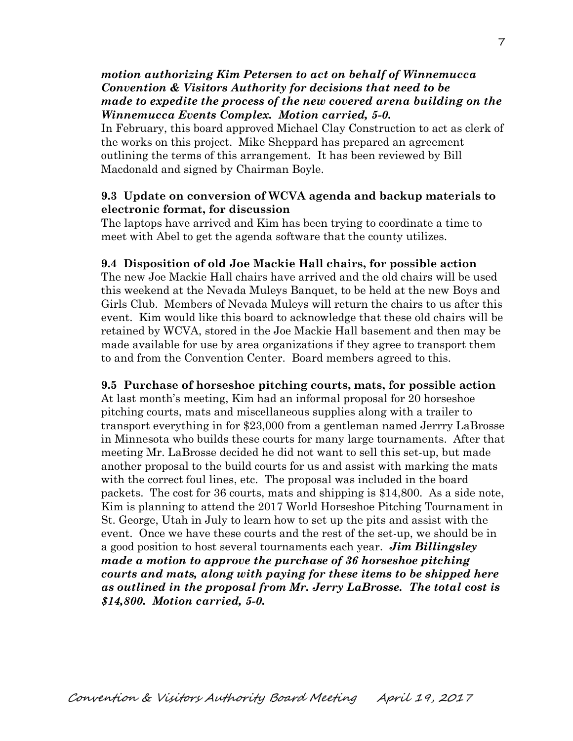### *motion authorizing Kim Petersen to act on behalf of Winnemucca Convention & Visitors Authority for decisions that need to be made to expedite the process of the new covered arena building on the Winnemucca Events Complex. Motion carried, 5-0.*

In February, this board approved Michael Clay Construction to act as clerk of the works on this project. Mike Sheppard has prepared an agreement outlining the terms of this arrangement. It has been reviewed by Bill Macdonald and signed by Chairman Boyle.

## **9.3 Update on conversion of WCVA agenda and backup materials to electronic format, for discussion**

The laptops have arrived and Kim has been trying to coordinate a time to meet with Abel to get the agenda software that the county utilizes.

### **9.4 Disposition of old Joe Mackie Hall chairs, for possible action**

The new Joe Mackie Hall chairs have arrived and the old chairs will be used this weekend at the Nevada Muleys Banquet, to be held at the new Boys and Girls Club. Members of Nevada Muleys will return the chairs to us after this event. Kim would like this board to acknowledge that these old chairs will be retained by WCVA, stored in the Joe Mackie Hall basement and then may be made available for use by area organizations if they agree to transport them to and from the Convention Center. Board members agreed to this.

### **9.5 Purchase of horseshoe pitching courts, mats, for possible action**

At last month's meeting, Kim had an informal proposal for 20 horseshoe pitching courts, mats and miscellaneous supplies along with a trailer to transport everything in for \$23,000 from a gentleman named Jerrry LaBrosse in Minnesota who builds these courts for many large tournaments. After that meeting Mr. LaBrosse decided he did not want to sell this set-up, but made another proposal to the build courts for us and assist with marking the mats with the correct foul lines, etc. The proposal was included in the board packets. The cost for 36 courts, mats and shipping is \$14,800. As a side note, Kim is planning to attend the 2017 World Horseshoe Pitching Tournament in St. George, Utah in July to learn how to set up the pits and assist with the event. Once we have these courts and the rest of the set-up, we should be in a good position to host several tournaments each year. *Jim Billingsley made a motion to approve the purchase of 36 horseshoe pitching courts and mats, along with paying for these items to be shipped here as outlined in the proposal from Mr. Jerry LaBrosse. The total cost is \$14,800. Motion carried, 5-0.*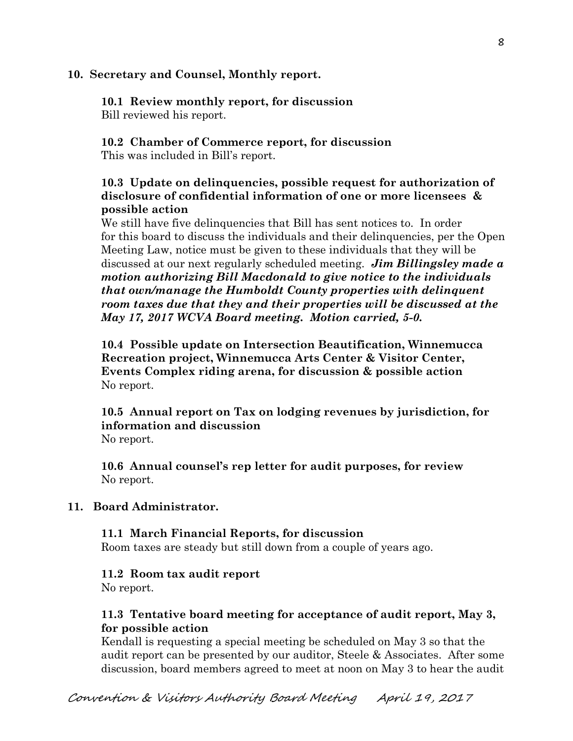### **10. Secretary and Counsel, Monthly report.**

**10.1 Review monthly report, for discussion**  Bill reviewed his report.

**10.2 Chamber of Commerce report, for discussion**  This was included in Bill's report.

### **10.3 Update on delinquencies, possible request for authorization of disclosure of confidential information of one or more licensees & possible action**

We still have five delinquencies that Bill has sent notices to. In order for this board to discuss the individuals and their delinquencies, per the Open Meeting Law, notice must be given to these individuals that they will be discussed at our next regularly scheduled meeting. *Jim Billingsley made a motion authorizing Bill Macdonald to give notice to the individuals that own/manage the Humboldt County properties with delinquent room taxes due that they and their properties will be discussed at the May 17, 2017 WCVA Board meeting. Motion carried, 5-0.* 

**10.4 Possible update on Intersection Beautification, Winnemucca Recreation project, Winnemucca Arts Center & Visitor Center, Events Complex riding arena, for discussion & possible action**  No report.

**10.5 Annual report on Tax on lodging revenues by jurisdiction, for information and discussion**  No report.

**10.6 Annual counsel's rep letter for audit purposes, for review** No report.

#### **11. Board Administrator.**

#### **11.1 March Financial Reports, for discussion**

Room taxes are steady but still down from a couple of years ago.

#### **11.2 Room tax audit report**

No report.

## **11.3 Tentative board meeting for acceptance of audit report, May 3, for possible action**

Kendall is requesting a special meeting be scheduled on May 3 so that the audit report can be presented by our auditor, Steele & Associates. After some discussion, board members agreed to meet at noon on May 3 to hear the audit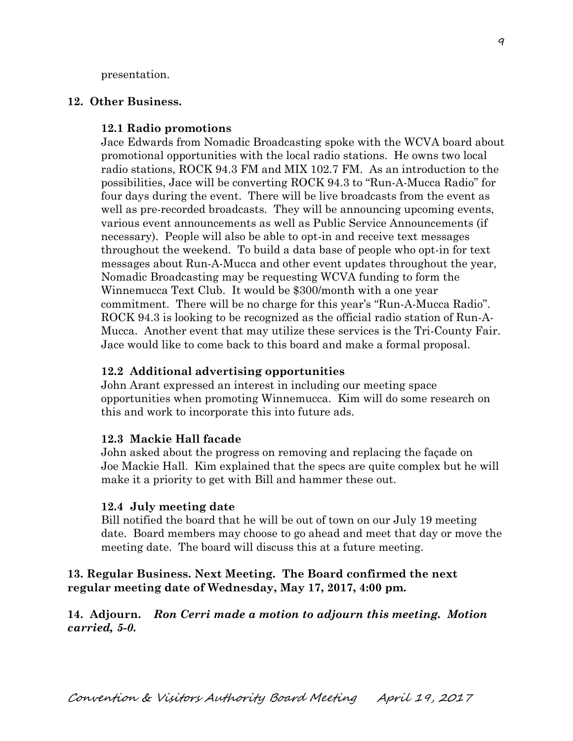presentation.

#### **12. Other Business.**

#### **12.1 Radio promotions**

Jace Edwards from Nomadic Broadcasting spoke with the WCVA board about promotional opportunities with the local radio stations. He owns two local radio stations, ROCK 94.3 FM and MIX 102.7 FM. As an introduction to the possibilities, Jace will be converting ROCK 94.3 to "Run-A-Mucca Radio" for four days during the event. There will be live broadcasts from the event as well as pre-recorded broadcasts. They will be announcing upcoming events, various event announcements as well as Public Service Announcements (if necessary). People will also be able to opt-in and receive text messages throughout the weekend. To build a data base of people who opt-in for text messages about Run-A-Mucca and other event updates throughout the year, Nomadic Broadcasting may be requesting WCVA funding to form the Winnemucca Text Club. It would be \$300/month with a one year commitment. There will be no charge for this year's "Run-A-Mucca Radio". ROCK 94.3 is looking to be recognized as the official radio station of Run-A- Mucca. Another event that may utilize these services is the Tri-County Fair. Jace would like to come back to this board and make a formal proposal.

#### **12.2 Additional advertising opportunities**

John Arant expressed an interest in including our meeting space opportunities when promoting Winnemucca. Kim will do some research on this and work to incorporate this into future ads.

#### **12.3 Mackie Hall facade**

John asked about the progress on removing and replacing the façade on Joe Mackie Hall. Kim explained that the specs are quite complex but he will make it a priority to get with Bill and hammer these out.

#### **12.4 July meeting date**

Bill notified the board that he will be out of town on our July 19 meeting date. Board members may choose to go ahead and meet that day or move the meeting date. The board will discuss this at a future meeting.

### **13. Regular Business. Next Meeting. The Board confirmed the next regular meeting date of Wednesday, May 17, 2017, 4:00 pm.**

### **14. Adjourn.** *Ron Cerri made a motion to adjourn this meeting. Motion carried, 5-0.*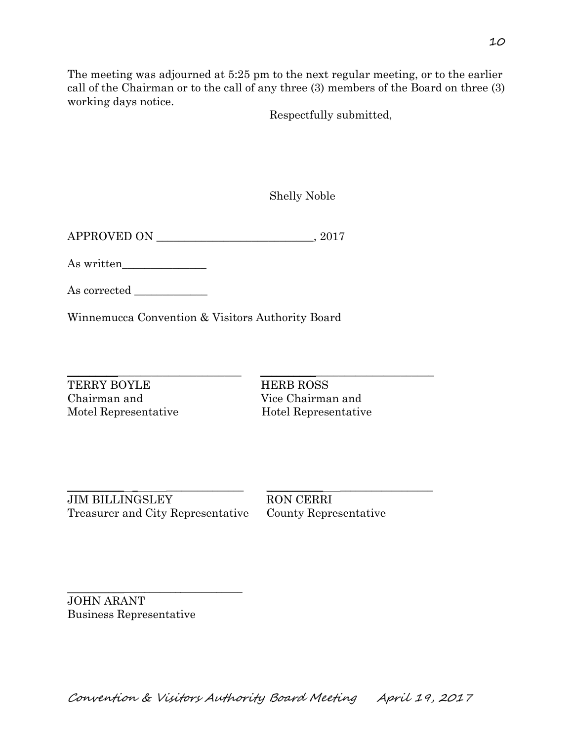The meeting was adjourned at 5:25 pm to the next regular meeting, or to the earlier call of the Chairman or to the call of any three (3) members of the Board on three (3) working days notice.

Respectfully submitted,

Shelly Noble

APPROVED ON \_\_\_\_\_\_\_\_\_\_\_\_\_\_\_\_\_\_\_\_\_\_\_\_\_\_\_\_, 2017

As written\_\_\_\_\_\_\_\_\_\_\_\_\_\_\_

As corrected

Winnemucca Convention & Visitors Authority Board

\_\_\_\_\_\_\_\_\_\_\_\_\_\_\_\_\_\_\_\_\_\_\_\_\_\_\_\_\_\_\_ \_\_\_\_\_\_\_\_\_\_\_\_\_\_\_\_\_\_\_\_\_\_\_\_\_\_\_\_\_\_\_ TERRY BOYLE HERB ROSS Chairman and Vice Chairman and Motel Representative Hotel Representative

\_\_\_\_\_\_\_\_\_\_\_ \_ \_\_\_\_\_\_\_\_\_\_\_\_\_\_\_ \_\_\_\_\_\_\_\_\_\_\_ \_\_\_\_\_\_\_\_\_\_\_\_\_\_\_\_\_\_ JIM BILLINGSLEY RON CERRI Treasurer and City Representative County Representative

\_\_\_\_\_\_\_\_\_\_\_\_\_\_\_\_\_\_\_\_\_\_\_\_\_\_\_\_\_\_\_\_\_\_

JOHN ARANT Business Representative